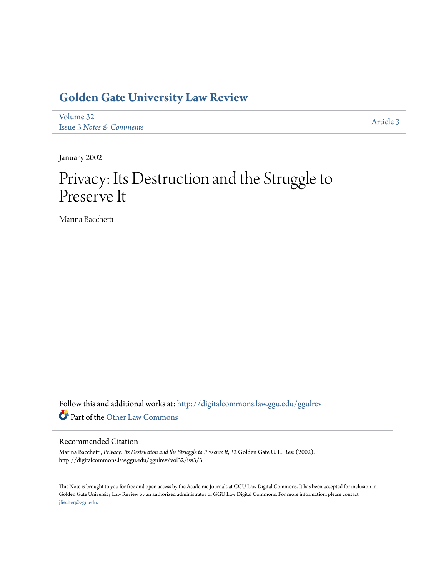### **[Golden Gate University Law Review](http://digitalcommons.law.ggu.edu/ggulrev?utm_source=digitalcommons.law.ggu.edu%2Fggulrev%2Fvol32%2Fiss3%2F3&utm_medium=PDF&utm_campaign=PDFCoverPages)**

[Volume 32](http://digitalcommons.law.ggu.edu/ggulrev/vol32?utm_source=digitalcommons.law.ggu.edu%2Fggulrev%2Fvol32%2Fiss3%2F3&utm_medium=PDF&utm_campaign=PDFCoverPages) Issue 3 *[Notes & Comments](http://digitalcommons.law.ggu.edu/ggulrev/vol32/iss3?utm_source=digitalcommons.law.ggu.edu%2Fggulrev%2Fvol32%2Fiss3%2F3&utm_medium=PDF&utm_campaign=PDFCoverPages)*

[Article 3](http://digitalcommons.law.ggu.edu/ggulrev/vol32/iss3/3?utm_source=digitalcommons.law.ggu.edu%2Fggulrev%2Fvol32%2Fiss3%2F3&utm_medium=PDF&utm_campaign=PDFCoverPages)

January 2002

# Privacy: Its Destruction and the Struggle to Preserve It

Marina Bacchetti

Follow this and additional works at: [http://digitalcommons.law.ggu.edu/ggulrev](http://digitalcommons.law.ggu.edu/ggulrev?utm_source=digitalcommons.law.ggu.edu%2Fggulrev%2Fvol32%2Fiss3%2F3&utm_medium=PDF&utm_campaign=PDFCoverPages) Part of the [Other Law Commons](http://network.bepress.com/hgg/discipline/621?utm_source=digitalcommons.law.ggu.edu%2Fggulrev%2Fvol32%2Fiss3%2F3&utm_medium=PDF&utm_campaign=PDFCoverPages)

#### Recommended Citation

Marina Bacchetti, *Privacy: Its Destruction and the Struggle to Preserve It*, 32 Golden Gate U. L. Rev. (2002). http://digitalcommons.law.ggu.edu/ggulrev/vol32/iss3/3

This Note is brought to you for free and open access by the Academic Journals at GGU Law Digital Commons. It has been accepted for inclusion in Golden Gate University Law Review by an authorized administrator of GGU Law Digital Commons. For more information, please contact [jfischer@ggu.edu](mailto:jfischer@ggu.edu).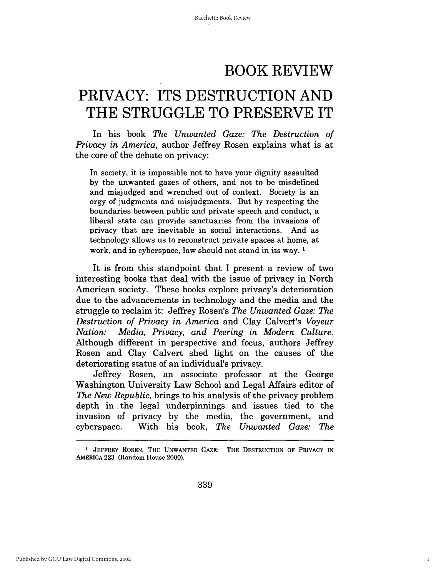### BOOK REVIEW

## **PRIVACY: ITS DESTRUCTION AND THE STRUGGLE TO PRESERVE IT**

In his book *The Unwanted Gaze: The Destruction of Privacy in America,* author Jeffrey Rosen explains what is at the core of the debate on privacy:

In society, it is impossible not to have your dignity assaulted by the unwanted gazes of others, and not to be misdefined and misjudged and wrenched out of context. Society is an orgy of judgments and misjudgments. But by respecting the boundaries between public and private speech and conduct, a liberal state can provide sanctuaries from the invasions of privacy that are inevitable in social interactions. And as technology allows us to reconstruct private spaces at home, at work, and in cyberspace, law should not stand in its way.<sup>1</sup>

It is from this standpoint that I present a review of two interesting books that deal with the issue of privacy in North American society. These books explore privacy's deterioration due to the advancements in technology and the media and the struggle to reclaim it: Jeffrey Rosen's *The Unwanted Gaze: The Destruction of Privacy in America* and Clay Calvert's *Voyeur Nation: Media, Privacy, and Peering in Modern Culture.*  Although different in perspective and focus, authors Jeffrey Rosen and Clay Calvert shed light on the causes of the deteriorating status of an individual's privacy.

Jeffrey Rosen, an associate professor at the George Washington University Law School and Legal Mfairs editor of *The New Republic,* brings to his analysis of the privacy problem depth in. the legal underpinnings and issues tied to the invasion of privacy by the media, the government, and cyberspace. With his book, *The Unwanted Gaze: The* 

339

1

<sup>&</sup>lt;sup>1</sup> JEFFREY ROSEN, THE UNWANTED GAZE: THE DESTRUCTION OF PRIVACY IN AMERICA 223 (Random House 2000).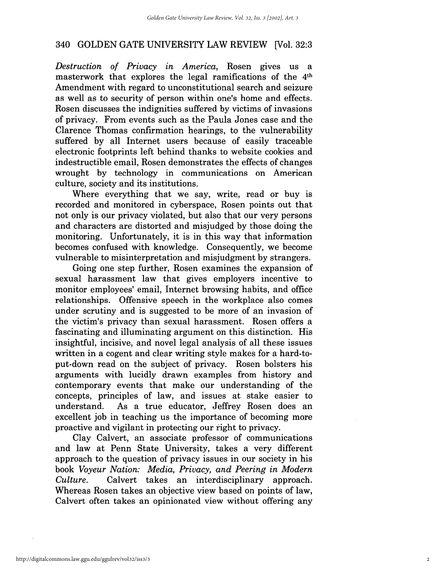### 340 GOLDEN GATE UNIVERSITY LAW REVIEW [Vol. 32:3

*Destruction of Privacy in America,* Rosen gives us a masterwork that explores the legal ramifications of the 4th Amendment with regard to unconstitutional search and seizure as well as to security of person within one's home and effects. Rosen discusses the indignities suffered by victims of invasions of privacy. From events such as the Paula Jones case and the Clarence Thomas confirmation hearings, to the vulnerability suffered by all Internet users because of easily traceable electronic footprints left behind thanks to website cookies and indestructible email, Rosen demonstrates the effects of changes wrought by technology in communications on American culture, society and its institutions.

Where everything that we say, write, read or buy is recorded and monitored in cyberspace, Rosen points out that not only is our privacy violated, but also that our very persons and characters are distorted and misjudged by those doing the monitoring. Unfortunately, it is in this way that information becomes confused with knowledge. Consequently, we become vulnerable to misinterpretation and misjudgment by strangers.

Going one step further, Rosen examines the expansion of sexual harassment law that gives employers incentive to monitor employees' email, Internet browsing habits, and office relationships. Offensive speech in the workplace also comes under scrutiny and is suggested to be more of an invasion of the victim's privacy than sexual harassment. Rosen offers a fascinating and illuminating argument on this distinction. His insightful, incisive, and novel legal analysis of all these issues written in a cogent and clear writing style makes for a hard-toput-down read on the subject of privacy. Rosen bolsters his arguments with lucidly drawn examples from history and contemporary events that make our understanding of the concepts, principles of law, and issues at stake easier to understand. As a true educator, Jeffrey Rosen does an excellent job in teaching us the importance of becoming more proactive and vigilant in protecting our right to privacy.

Clay Calvert, an associate professor of communications and law at Penn State University, takes a very different approach to the question of privacy issues in our society in his book *Voyeur Nation: Media, Privacy, and Peering in Modern Culture.* Calvert takes an interdisciplinary approach. Whereas Rosen takes an objective view based on points of law, Calvert often takes an opinionated view without offering any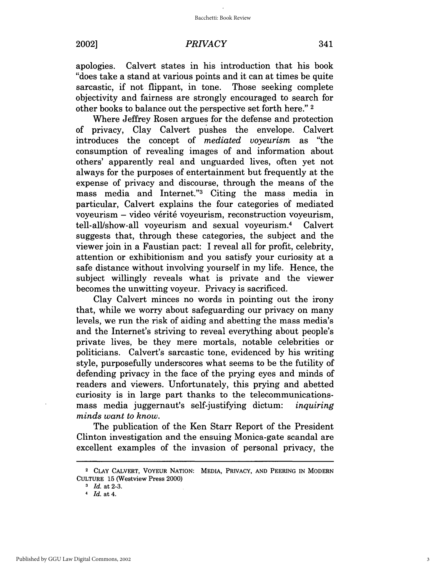#### 2002] *PRIVACY* 341

Where Jeffrey Rosen argues for the defense and protection of privacy, Clay Calvert pushes the envelope. Calvert introduces the concept of *mediated voyeurism* as "the consumption of revealing images of and information about others' apparently real and unguarded lives, often yet not always for the purposes of entertainment but frequently at the expense of privacy and discourse, through the means of the mass media and Internet."3 Citing the mass media in particular, Calvert explains the four categories of mediated voyeurism – video vérité voyeurism, reconstruction voyeurism, tell-alllshow-all voyeurism and sexual voyeurism.4 Calvert suggests that, through these categories, the subject and the viewer join in a Faustian pact: I reveal all for profit, celebrity, attention or exhibitionism and you satisfy your curiosity at a safe distance without involving yourself in my life. Hence, the subject willingly reveals what is private and the viewer becomes the unwitting voyeur. Privacy is sacrificed.

Clay Calvert minces no words in pointing out the irony that, while we worry about safeguarding our privacy on many levels, we run the risk of aiding and abetting the mass media's and the Internet's striving to reveal everything about people's private lives, be they mere mortals, notable celebrities or politicians. Calvert's sarcastic tone, evidenced by his writing style, purposefully underscores what seems to be the futility of defending privacy in the face of the prying eyes and minds of readers and viewers. Unfortunately, this prying and abetted curiosity is in large part thanks to the telecommunicationsmass media juggernaut's self-justifying dictum: *inquiring minds want to know.* 

The publication of the Ken Starr Report of the President Clinton investigation and the ensuing Monica-gate scandal are excellent examples of the invasion of personal privacy, the

<sup>2</sup> CLAY CALVERT, VOYEUR NATION: MEDIA, PRIVACY, AND PEERING IN MODERN CULTURE 15 (Westview Press 2000)

 $3$  *Id.* at 2-3.

 $4$   $Id.$  at 4.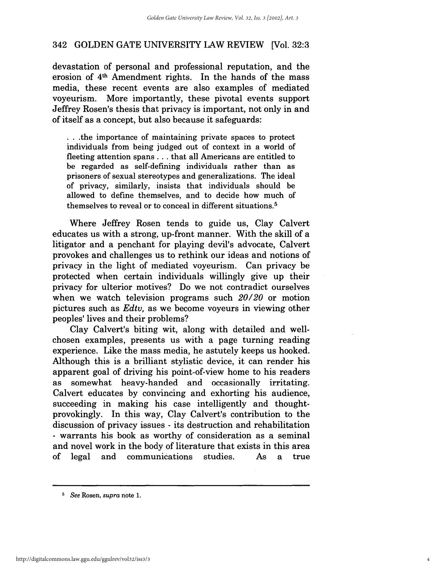### 342 GOLDEN GATE UNIVERSITY LAW REVIEW [Vol. 32:3]

devastation of personal and professional reputation, and the erosion of 4th Amendment rights. In the hands of the mass media, these recent events are also examples of mediated voyeurism. More importantly, these pivotal events support Jeffrey Rosen's thesis that privacy is important, not only in and of itself as a concept, but also because it safeguards:

... the importance of maintaining private spaces to protect individuals from being judged out of context in a world of fleeting attention spans ... that all Americans are entitled to be regarded as self-defming individuals rather than as prisoners of sexual stereotypes and generalizations. The ideal of privacy, similarly, insists that individuals should be allowed to define themselves, and to decide how much of themselves to reveal or to conceal in different situations. <sup>5</sup>

Where Jeffrey Rosen tends to guide us, Clay Calvert educates us with a strong, up-front manner. With the skill of a litigator and a penchant for playing devil's advocate, Calvert provokes and challenges us to rethink our ideas and notions of privacy in the light of mediated voyeurism. Can privacy be protected when certain individuals willingly give up their privacy for ulterior motives? Do we not contradict ourselves when we watch television programs such *20120* or motion pictures such as *Edtv,* as we become voyeurs in viewing other peoples' lives and their problems?

Clay Calvert's biting wit, along with detailed and wellchosen examples, presents us with a page turning reading experience. Like the mass media, he astutely keeps us hooked. Although this is a brilliant stylistic device, it can render his apparent goal of driving his point-of-view home to his readers as somewhat heavy-handed and occasionally irritating. Calvert educates by convincing and exhorting his audience, succeeding in making his case intelligently and thoughtprovokingly. In this way, Clay Calvert's contribution to the discussion of privacy issues - its destruction and rehabilitation - warrants his book as worthy of consideration as a seminal and novel work in the body of literature that exists in this area of legal and communications studies. As a true

<sup>5</sup>*See* Rosen, *supra* note 1.